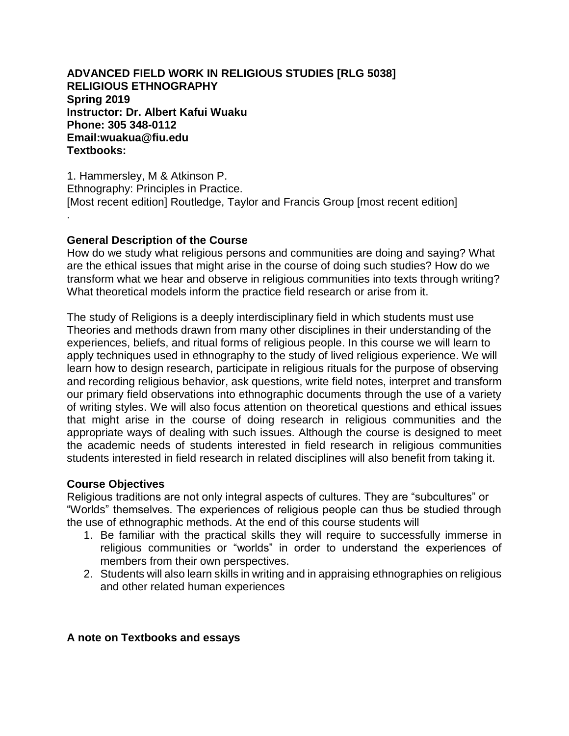**ADVANCED FIELD WORK IN RELIGIOUS STUDIES [RLG 5038] RELIGIOUS ETHNOGRAPHY Spring 2019 Instructor: Dr. Albert Kafui Wuaku Phone: 305 348-0112 Email:wuakua@fiu.edu Textbooks:**

1. Hammersley, M & Atkinson P. Ethnography: Principles in Practice. [Most recent edition] Routledge, Taylor and Francis Group [most recent edition] .

## **General Description of the Course**

How do we study what religious persons and communities are doing and saying? What are the ethical issues that might arise in the course of doing such studies? How do we transform what we hear and observe in religious communities into texts through writing? What theoretical models inform the practice field research or arise from it.

The study of Religions is a deeply interdisciplinary field in which students must use Theories and methods drawn from many other disciplines in their understanding of the experiences, beliefs, and ritual forms of religious people. In this course we will learn to apply techniques used in ethnography to the study of lived religious experience. We will learn how to design research, participate in religious rituals for the purpose of observing and recording religious behavior, ask questions, write field notes, interpret and transform our primary field observations into ethnographic documents through the use of a variety of writing styles. We will also focus attention on theoretical questions and ethical issues that might arise in the course of doing research in religious communities and the appropriate ways of dealing with such issues. Although the course is designed to meet the academic needs of students interested in field research in religious communities students interested in field research in related disciplines will also benefit from taking it.

## **Course Objectives**

Religious traditions are not only integral aspects of cultures. They are "subcultures" or "Worlds" themselves. The experiences of religious people can thus be studied through the use of ethnographic methods. At the end of this course students will

- 1. Be familiar with the practical skills they will require to successfully immerse in religious communities or "worlds" in order to understand the experiences of members from their own perspectives.
- 2. Students will also learn skills in writing and in appraising ethnographies on religious and other related human experiences

# **A note on Textbooks and essays**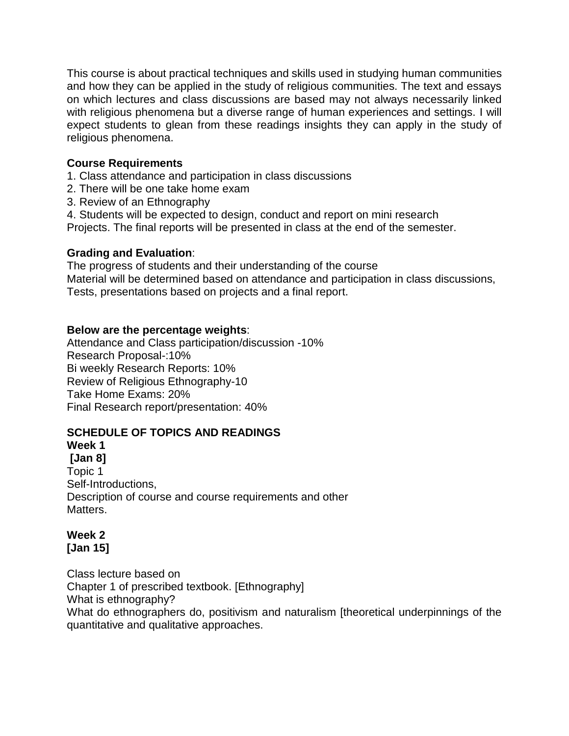This course is about practical techniques and skills used in studying human communities and how they can be applied in the study of religious communities. The text and essays on which lectures and class discussions are based may not always necessarily linked with religious phenomena but a diverse range of human experiences and settings. I will expect students to glean from these readings insights they can apply in the study of religious phenomena.

# **Course Requirements**

1. Class attendance and participation in class discussions

- 2. There will be one take home exam
- 3. Review of an Ethnography
- 4. Students will be expected to design, conduct and report on mini research

Projects. The final reports will be presented in class at the end of the semester.

# **Grading and Evaluation**:

The progress of students and their understanding of the course Material will be determined based on attendance and participation in class discussions, Tests, presentations based on projects and a final report.

# **Below are the percentage weights**:

Attendance and Class participation/discussion -10% Research Proposal-:10% Bi weekly Research Reports: 10% Review of Religious Ethnography-10 Take Home Exams: 20% Final Research report/presentation: 40%

# **SCHEDULE OF TOPICS AND READINGS**

# **Week 1**

**[Jan 8]** Topic 1 Self-Introductions, Description of course and course requirements and other Matters.

#### **Week 2 [Jan 15]**

Class lecture based on Chapter 1 of prescribed textbook. [Ethnography] What is ethnography? What do ethnographers do, positivism and naturalism [theoretical underpinnings of the quantitative and qualitative approaches.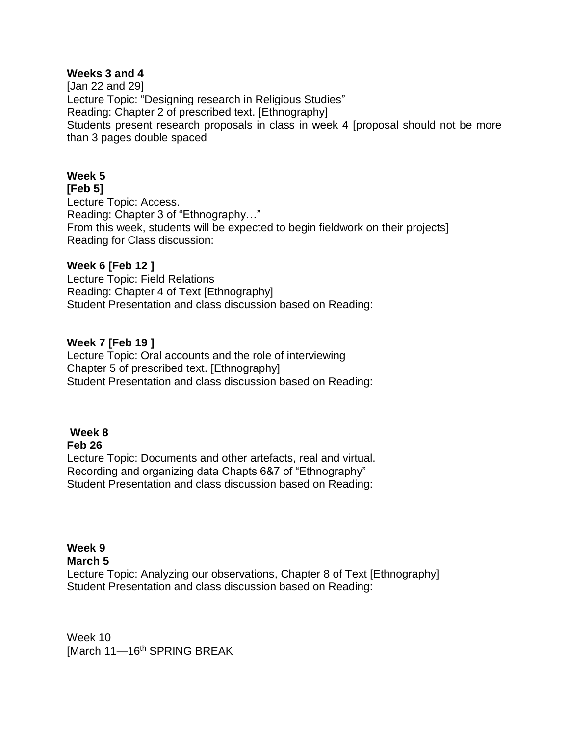### **Weeks 3 and 4**

[Jan 22 and 29] Lecture Topic: "Designing research in Religious Studies" Reading: Chapter 2 of prescribed text. [Ethnography] Students present research proposals in class in week 4 [proposal should not be more than 3 pages double spaced

# **Week 5**

#### **[Feb 5]**

Lecture Topic: Access. Reading: Chapter 3 of "Ethnography…" From this week, students will be expected to begin fieldwork on their projects] Reading for Class discussion:

#### **Week 6 [Feb 12 ]**

Lecture Topic: Field Relations Reading: Chapter 4 of Text [Ethnography] Student Presentation and class discussion based on Reading:

## **Week 7 [Feb 19 ]**

Lecture Topic: Oral accounts and the role of interviewing Chapter 5 of prescribed text. [Ethnography] Student Presentation and class discussion based on Reading:

## **Week 8**

#### **Feb 26**

Lecture Topic: Documents and other artefacts, real and virtual. Recording and organizing data Chapts 6&7 of "Ethnography" Student Presentation and class discussion based on Reading:

## **Week 9**

#### **March 5**

Lecture Topic: Analyzing our observations, Chapter 8 of Text [Ethnography] Student Presentation and class discussion based on Reading:

Week 10 [March 11-16<sup>th</sup> SPRING BREAK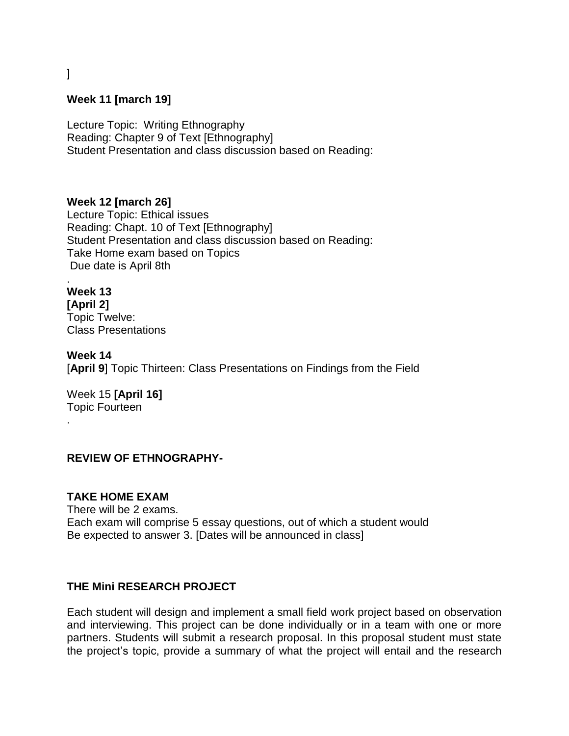# ]

#### **Week 11 [march 19]**

Lecture Topic: Writing Ethnography Reading: Chapter 9 of Text [Ethnography] Student Presentation and class discussion based on Reading:

**Week 12 [march 26]**

Lecture Topic: Ethical issues Reading: Chapt. 10 of Text [Ethnography] Student Presentation and class discussion based on Reading: Take Home exam based on Topics Due date is April 8th

. **Week 13 [April 2]**

Topic Twelve: Class Presentations

**Week 14** [**April 9**] Topic Thirteen: Class Presentations on Findings from the Field

Week 15 **[April 16]** Topic Fourteen

.

#### **REVIEW OF ETHNOGRAPHY-**

#### **TAKE HOME EXAM**

There will be 2 exams. Each exam will comprise 5 essay questions, out of which a student would Be expected to answer 3. [Dates will be announced in class]

#### **THE Mini RESEARCH PROJECT**

Each student will design and implement a small field work project based on observation and interviewing. This project can be done individually or in a team with one or more partners. Students will submit a research proposal. In this proposal student must state the project's topic, provide a summary of what the project will entail and the research